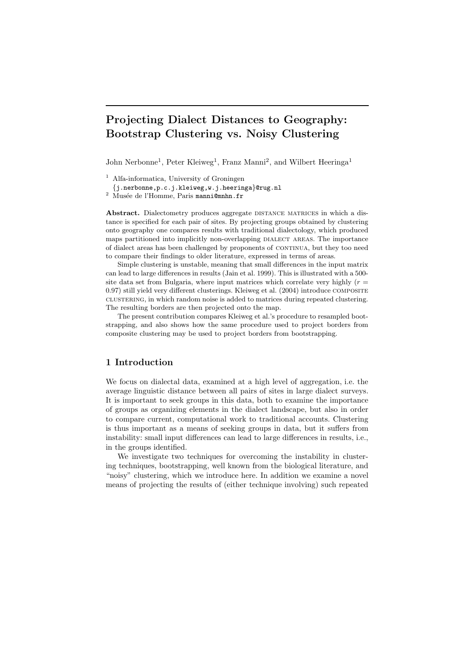# Projecting Dialect Distances to Geography: Bootstrap Clustering vs. Noisy Clustering

John Nerbonne<sup>1</sup>, Peter Kleiweg<sup>1</sup>, Franz Manni<sup>2</sup>, and Wilbert Heeringa<sup>1</sup>

<sup>1</sup> Alfa-informatica, University of Groningen

{j.nerbonne,p.c.j.kleiweg,w.j.heeringa}@rug.nl

<sup>2</sup> Musée de l'Homme, Paris manni@mnhn.fr

Abstract. Dialectometry produces aggregate DISTANCE MATRICES in which a distance is specified for each pair of sites. By projecting groups obtained by clustering onto geography one compares results with traditional dialectology, which produced maps partitioned into implicitly non-overlapping DIALECT AREAS. The importance of dialect areas has been challenged by proponents of continua, but they too need to compare their findings to older literature, expressed in terms of areas.

Simple clustering is unstable, meaning that small differences in the input matrix can lead to large differences in results (Jain et al. 1999). This is illustrated with a 500 site data set from Bulgaria, where input matrices which correlate very highly  $(r =$ 0.97) still yield very different clusterings. Kleiweg et al. (2004) introduce composite clustering, in which random noise is added to matrices during repeated clustering. The resulting borders are then projected onto the map.

The present contribution compares Kleiweg et al.'s procedure to resampled bootstrapping, and also shows how the same procedure used to project borders from composite clustering may be used to project borders from bootstrapping.

## 1 Introduction

We focus on dialectal data, examined at a high level of aggregation, i.e. the average linguistic distance between all pairs of sites in large dialect surveys. It is important to seek groups in this data, both to examine the importance of groups as organizing elements in the dialect landscape, but also in order to compare current, computational work to traditional accounts. Clustering is thus important as a means of seeking groups in data, but it suffers from instability: small input differences can lead to large differences in results, i.e., in the groups identified.

We investigate two techniques for overcoming the instability in clustering techniques, bootstrapping, well known from the biological literature, and "noisy" clustering, which we introduce here. In addition we examine a novel means of projecting the results of (either technique involving) such repeated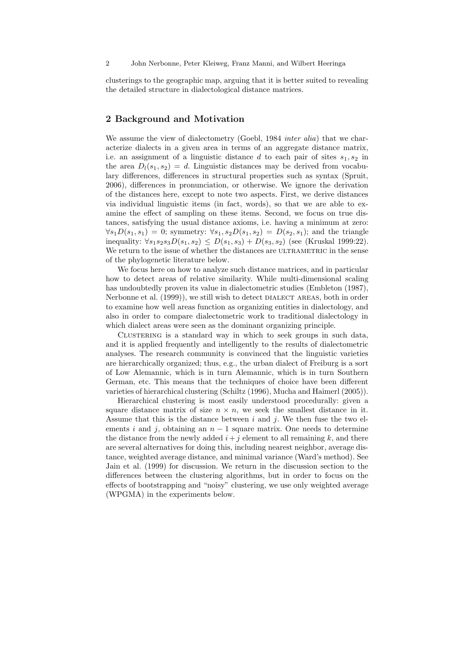clusterings to the geographic map, arguing that it is better suited to revealing the detailed structure in dialectological distance matrices.

## 2 Background and Motivation

We assume the view of dialectometry (Goebl, 1984 *inter alia*) that we characterize dialects in a given area in terms of an aggregate distance matrix, i.e. an assignment of a linguistic distance d to each pair of sites  $s_1, s_2$  in the area  $D_l(s_1, s_2) = d$ . Linguistic distances may be derived from vocabulary differences, differences in structural properties such as syntax (Spruit, 2006), differences in pronunciation, or otherwise. We ignore the derivation of the distances here, except to note two aspects. First, we derive distances via individual linguistic items (in fact, words), so that we are able to examine the effect of sampling on these items. Second, we focus on true distances, satisfying the usual distance axioms, i.e. having a minimum at zero:  $\forall s_1 D(s_1, s_1) = 0$ ; symmetry:  $\forall s_1, s_2 D(s_1, s_2) = D(s_2, s_1)$ ; and the triangle inequality:  $\forall s_1 s_2 s_3 D(s_1, s_2) \leq D(s_1, s_3) + D(s_3, s_2)$  (see (Kruskal 1999:22). We return to the issue of whether the distances are ULTRAMETRIC in the sense of the phylogenetic literature below.

We focus here on how to analyze such distance matrices, and in particular how to detect areas of relative similarity. While multi-dimensional scaling has undoubtedly proven its value in dialectometric studies (Embleton (1987), Nerbonne et al. (1999)), we still wish to detect DIALECT AREAS, both in order to examine how well areas function as organizing entities in dialectology, and also in order to compare dialectometric work to traditional dialectology in which dialect areas were seen as the dominant organizing principle.

Clustering is a standard way in which to seek groups in such data, and it is applied frequently and intelligently to the results of dialectometric analyses. The research community is convinced that the linguistic varieties are hierarchically organized; thus, e.g., the urban dialect of Freiburg is a sort of Low Alemannic, which is in turn Alemannic, which is in turn Southern German, etc. This means that the techniques of choice have been different varieties of hierarchical clustering (Schiltz (1996), Mucha and Haimerl (2005)).

Hierarchical clustering is most easily understood procedurally: given a square distance matrix of size  $n \times n$ , we seek the smallest distance in it. Assume that this is the distance between  $i$  and  $j$ . We then fuse the two elements i and j, obtaining an  $n-1$  square matrix. One needs to determine the distance from the newly added  $i + j$  element to all remaining k, and there are several alternatives for doing this, including nearest neighbor, average distance, weighted average distance, and minimal variance (Ward's method). See Jain et al. (1999) for discussion. We return in the discussion section to the differences between the clustering algorithms, but in order to focus on the effects of bootstrapping and "noisy" clustering, we use only weighted average (WPGMA) in the experiments below.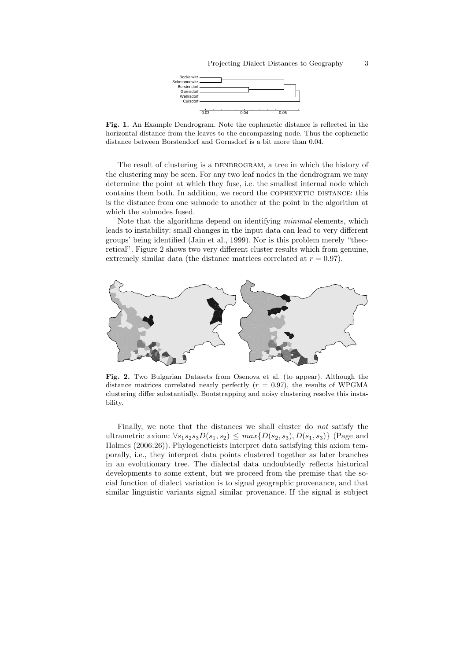

Fig. 1. An Example Dendrogram. Note the cophenetic distance is reflected in the horizontal distance from the leaves to the encompassing node. Thus the cophenetic distance between Borstendorf and Gornsdorf is a bit more than 0.04.

The result of clustering is a DENDROGRAM, a tree in which the history of the clustering may be seen. For any two leaf nodes in the dendrogram we may determine the point at which they fuse, i.e. the smallest internal node which contains them both. In addition, we record the COPHENETIC DISTANCE: this is the distance from one subnode to another at the point in the algorithm at which the subnodes fused.

Note that the algorithms depend on identifying minimal elements, which leads to instability: small changes in the input data can lead to very different groups' being identified (Jain et al., 1999). Nor is this problem merely "theoretical". Figure 2 shows two very different cluster results which from genuine, extremely similar data (the distance matrices correlated at  $r = 0.97$ ).



Fig. 2. Two Bulgarian Datasets from Osenova et al. (to appear). Although the distance matrices correlated nearly perfectly  $(r = 0.97)$ , the results of WPGMA clustering differ substantially. Bootstrapping and noisy clustering resolve this instability.

Finally, we note that the distances we shall cluster do not satisfy the ultrametric axiom:  $\forall s_1 s_2 s_3 D(s_1, s_2) \leq max\{D(s_2, s_3), D(s_1, s_3)\}\$  (Page and Holmes (2006:26)). Phylogeneticists interpret data satisfying this axiom temporally, i.e., they interpret data points clustered together as later branches in an evolutionary tree. The dialectal data undoubtedly reflects historical developments to some extent, but we proceed from the premise that the social function of dialect variation is to signal geographic provenance, and that similar linguistic variants signal similar provenance. If the signal is subject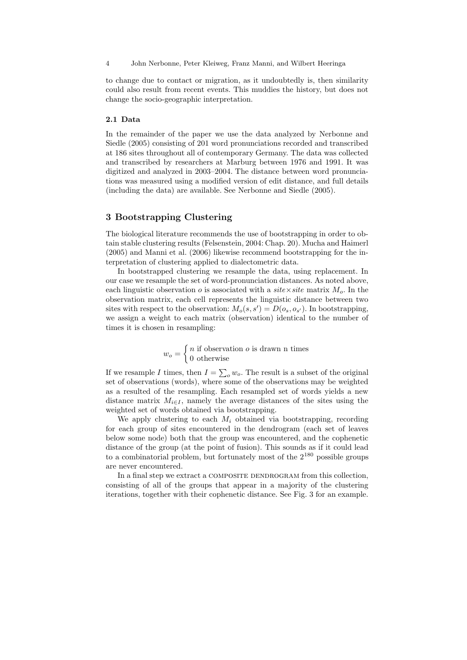4 John Nerbonne, Peter Kleiweg, Franz Manni, and Wilbert Heeringa

to change due to contact or migration, as it undoubtedly is, then similarity could also result from recent events. This muddies the history, but does not change the socio-geographic interpretation.

#### 2.1 Data

In the remainder of the paper we use the data analyzed by Nerbonne and Siedle (2005) consisting of 201 word pronunciations recorded and transcribed at 186 sites throughout all of contemporary Germany. The data was collected and transcribed by researchers at Marburg between 1976 and 1991. It was digitized and analyzed in 2003–2004. The distance between word pronunciations was measured using a modified version of edit distance, and full details (including the data) are available. See Nerbonne and Siedle (2005).

# 3 Bootstrapping Clustering

The biological literature recommends the use of bootstrapping in order to obtain stable clustering results (Felsenstein, 2004: Chap. 20). Mucha and Haimerl (2005) and Manni et al. (2006) likewise recommend bootstrapping for the interpretation of clustering applied to dialectometric data.

In bootstrapped clustering we resample the data, using replacement. In our case we resample the set of word-pronunciation distances. As noted above, each linguistic observation o is associated with a site  $\times$  site matrix  $M<sub>o</sub>$ . In the observation matrix, each cell represents the linguistic distance between two sites with respect to the observation:  $M_o(s, s') = D(o_s, o_{s'})$ . In bootstrapping, we assign a weight to each matrix (observation) identical to the number of times it is chosen in resampling:

$$
w_o = \begin{cases} n \text{ if observation } o \text{ is drawn } n \text{ times} \\ 0 \text{ otherwise} \end{cases}
$$

If we resample I times, then  $I = \sum_{o} w_o$ . The result is a subset of the original set of observations (words), where some of the observations may be weighted as a resulted of the resampling. Each resampled set of words yields a new distance matrix  $M_{i\in I}$ , namely the average distances of the sites using the weighted set of words obtained via bootstrapping.

We apply clustering to each  $M_i$  obtained via bootstrapping, recording for each group of sites encountered in the dendrogram (each set of leaves below some node) both that the group was encountered, and the cophenetic distance of the group (at the point of fusion). This sounds as if it could lead to a combinatorial problem, but fortunately most of the 2 <sup>180</sup> possible groups are never encountered.

In a final step we extract a COMPOSITE DENDROGRAM from this collection, consisting of all of the groups that appear in a majority of the clustering iterations, together with their cophenetic distance. See Fig. 3 for an example.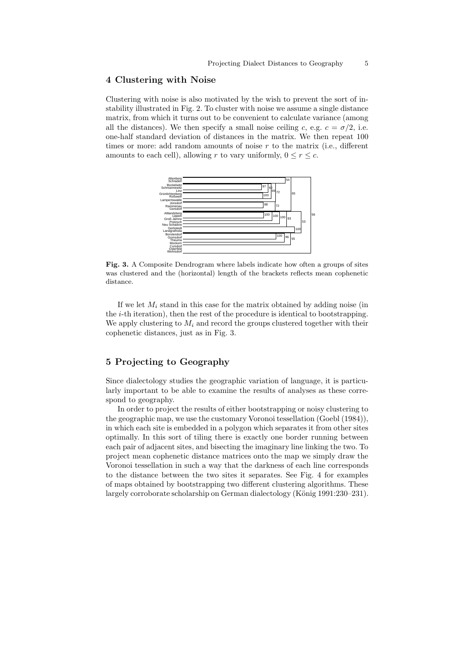#### 4 Clustering with Noise

Clustering with noise is also motivated by the wish to prevent the sort of instability illustrated in Fig. 2. To cluster with noise we assume a single distance matrix, from which it turns out to be convenient to calculate variance (among all the distances). We then specify a small noise ceiling c, e.g.  $c = \sigma/2$ , i.e. one-half standard deviation of distances in the matrix. We then repeat 100 times or more: add random amounts of noise  $r$  to the matrix (i.e., different amounts to each cell), allowing r to vary uniformly,  $0 \le r \le c$ .



Fig. 3. A Composite Dendrogram where labels indicate how often a groups of sites was clustered and the (horizontal) length of the brackets reflects mean cophenetic distance.

If we let  $M_i$  stand in this case for the matrix obtained by adding noise (in the  $i$ -th iteration), then the rest of the procedure is identical to bootstrapping. We apply clustering to  $M_i$  and record the groups clustered together with their cophenetic distances, just as in Fig. 3.

# 5 Projecting to Geography

Since dialectology studies the geographic variation of language, it is particularly important to be able to examine the results of analyses as these correspond to geography.

In order to project the results of either bootstrapping or noisy clustering to the geographic map, we use the customary Voronoi tessellation (Goebl (1984)), in which each site is embedded in a polygon which separates it from other sites optimally. In this sort of tiling there is exactly one border running between each pair of adjacent sites, and bisecting the imaginary line linking the two. To project mean cophenetic distance matrices onto the map we simply draw the Voronoi tessellation in such a way that the darkness of each line corresponds to the distance between the two sites it separates. See Fig. 4 for examples of maps obtained by bootstrapping two different clustering algorithms. These largely corroborate scholarship on German dialectology (König 1991:230-231).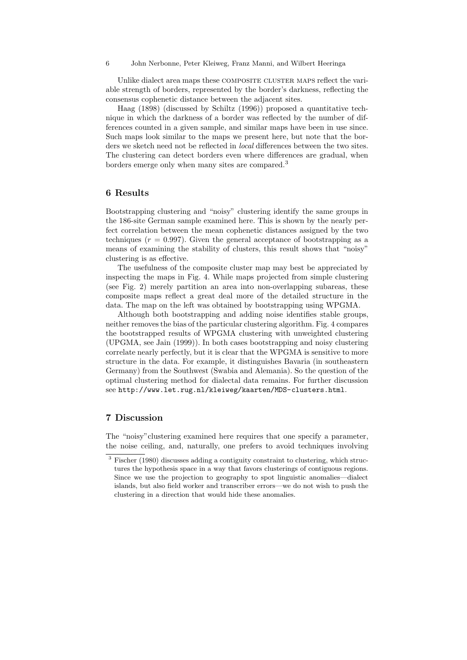6 John Nerbonne, Peter Kleiweg, Franz Manni, and Wilbert Heeringa

Unlike dialect area maps these COMPOSITE CLUSTER MAPS reflect the variable strength of borders, represented by the border's darkness, reflecting the consensus cophenetic distance between the adjacent sites.

Haag (1898) (discussed by Schiltz (1996)) proposed a quantitative technique in which the darkness of a border was reflected by the number of differences counted in a given sample, and similar maps have been in use since. Such maps look similar to the maps we present here, but note that the borders we sketch need not be reflected in local differences between the two sites. The clustering can detect borders even where differences are gradual, when borders emerge only when many sites are compared.<sup>3</sup>

#### 6 Results

Bootstrapping clustering and "noisy" clustering identify the same groups in the 186-site German sample examined here. This is shown by the nearly perfect correlation between the mean cophenetic distances assigned by the two techniques ( $r = 0.997$ ). Given the general acceptance of bootstrapping as a means of examining the stability of clusters, this result shows that "noisy" clustering is as effective.

The usefulness of the composite cluster map may best be appreciated by inspecting the maps in Fig. 4. While maps projected from simple clustering (see Fig. 2) merely partition an area into non-overlapping subareas, these composite maps reflect a great deal more of the detailed structure in the data. The map on the left was obtained by bootstrapping using WPGMA.

Although both bootstrapping and adding noise identifies stable groups, neither removesthe bias of the particular clustering algorithm. Fig. 4 compares the bootstrapped results of WPGMA clustering with unweighted clustering (UPGMA, see Jain (1999)). In both cases bootstrapping and noisy clustering correlate nearly perfectly, but it is clear that the WPGMA is sensitive to more structure in the data. For example, it distinguishes Bavaria (in southeastern Germany) from the Southwest (Swabia and Alemania). So the question of the optimal clustering method for dialectal data remains. For further discussion see http://www.let.rug.nl/kleiweg/kaarten/MDS-clusters.html.

# 7 Discussion

The "noisy"clustering examined here requires that one specify a parameter, the noise ceiling, and, naturally, one prefers to avoid techniques involving

<sup>3</sup> Fischer (1980) discusses adding a contiguity constraint to clustering, which structures the hypothesis space in a way that favors clusterings of contiguous regions. Since we use the projection to geography to spot linguistic anomalies—dialect islands, but also field worker and transcriber errors—we do not wish to push the clustering in a direction that would hide these anomalies.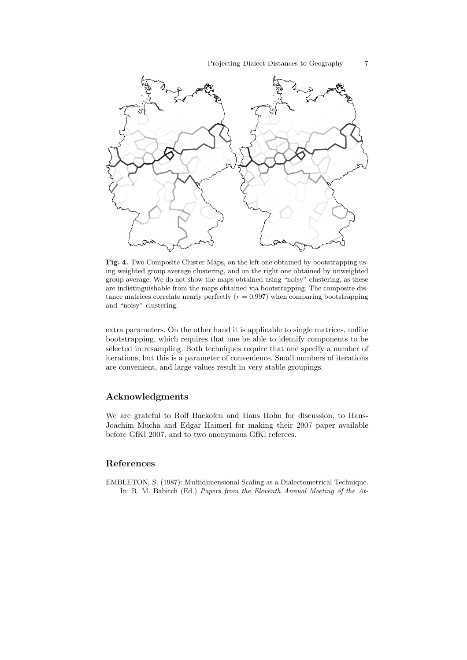

Fig. 4. Two Composite Cluster Maps, on the left one obtained by bootstrapping using weighted group average clustering, and on the right one obtained by unweighted group average. We do not show the maps obtained using "noisy" clustering, as these are indistinguishable from the maps obtained via bootstrapping. The composite distance matrices correlate nearly perfectly  $(r = 0.997)$  when comparing bootstrapping and "noisy" clustering.

extra parameters. On the other hand it is applicable to single matrices, unlike bootstrapping, which requires that one be able to identify components to be selected in resampling. Both techniques require that one specify a number of iterations, but this is a parameter of convenience. Small numbers of iterations are convenient, and large values result in very stable groupings.

# Acknowledgments

We are grateful to Rolf Backofen and Hans Holm for discussion, to Hans-Joachim Mucha and Edgar Haimerl for making their 2007 paper available before GfKl 2007, and to two anonymous GfKl referees.

## References

EMBLETON, S. (1987): Multidimensional Scaling as a Dialectometrical Technique. In: R. M. Babitch (Ed.) Papers from the Eleventh Annual Meeting of the At-